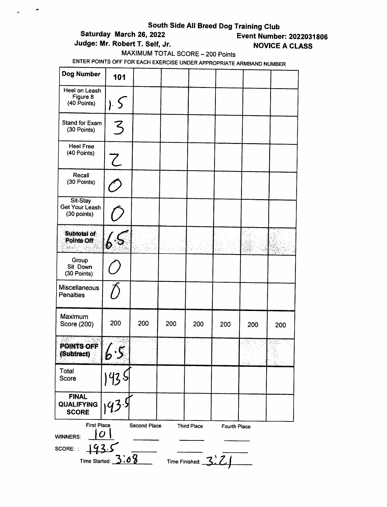# South Side All Breed Dog Training Club<br>Saturday March 26, 2022<br>Event Numbe

 $\mathcal{L}_{\text{max}}$ 

 $\tilde{\phantom{a}}$ 

# Judge: Mr. Robert T. Self, Jr. Novice A CLASS

# **Event Number: 2022031806**

MAXIMUM TOTAL SCORE - 200 Points

| Dog Number                                                        | 101                                    |              |     |                                             |                     |     |     |
|-------------------------------------------------------------------|----------------------------------------|--------------|-----|---------------------------------------------|---------------------|-----|-----|
| Heel on Leash<br>Figure 8<br>(40 Points)                          | j.5                                    |              |     |                                             |                     |     |     |
| Stand for Exam<br>(30 Points)                                     | 3                                      |              |     |                                             |                     |     |     |
| <b>Heel Free</b><br>(40 Points)                                   | $\overline{\mathcal{L}}$               |              |     |                                             |                     |     |     |
| Recall<br>(30 Points)                                             | $\hat{D}$                              |              |     |                                             |                     |     |     |
| Sit-Stay<br><b>Get Your Leash</b><br>(30 points)                  |                                        |              |     |                                             |                     |     |     |
| Subtotal of<br>Points Off                                         | $\overline{\mathcal{S}}$               |              |     |                                             |                     |     |     |
| Group<br>Sit Down<br>(30 Points)                                  |                                        |              |     |                                             |                     |     |     |
| <b>Miscellaneous</b><br><b>Penalties</b>                          |                                        |              |     |                                             |                     |     |     |
| Maximum<br>Score (200)                                            | 200                                    | 200          | 200 | 200                                         | 200                 | 200 | 200 |
| POINTS OFF<br>(Subtract)                                          |                                        |              |     |                                             |                     | .,  |     |
| Total<br>Score                                                    |                                        |              |     |                                             |                     |     |     |
| <b>FINAL</b><br><b>QUALIFYING</b><br><b>SCORE</b>                 |                                        |              |     |                                             |                     |     |     |
| <b>First Place</b><br><b>WINNERS:</b><br><u>193.5</u><br>SCORE: : | $\boldsymbol{O}$<br>Time Started: 3:08 | Second Place |     | <b>Third Place</b><br>Time Finished: $3.21$ | <b>Fourth Place</b> |     |     |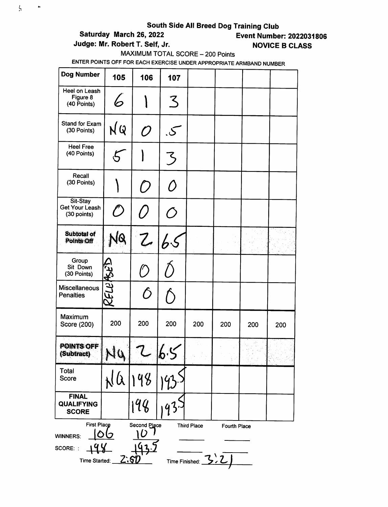# South Side All Breed Dog Training Club<br>Event Numbe = Event Numbe

 $\zeta$ 

 $\hat{\phantom{a}}$ 

# **Event Number: 2022031806**

Judge: Mr. Robert T. Self, Jr. No. 1998. NOVICE B CLASS

# MAXIMUM TOTAL SCORE - 200 Points

| Dog Number                                                         | 105         | 106                 | 107              |                    |              |     |     |
|--------------------------------------------------------------------|-------------|---------------------|------------------|--------------------|--------------|-----|-----|
| Heel on Leash<br>Figure 8<br>(40 Points)                           | 6           |                     | $\mathcal{Z}$    |                    |              |     |     |
| Stand for Exam<br>(30 Points)                                      | NQ          | ${\cal O}$          | .S               |                    |              |     |     |
| <b>Heel Free</b><br>(40 Points)                                    |             |                     | 3                |                    |              |     |     |
| Recall<br>(30 Points)                                              |             | $\bigcap$           | Ô                |                    |              |     |     |
| Sit-Stay<br><b>Get Your Leash</b><br>(30 points)                   | $\hat{O}$   | 7                   | $\bigcirc$       |                    |              |     |     |
| <b>Subtotal of</b><br>Points Off                                   | NQ          | z                   | $ b\mathcal{S} $ |                    |              |     |     |
| Group<br>Sit Down<br>(30 Points)                                   |             |                     |                  |                    |              |     |     |
| <b>Miscellaneous</b><br><b>Penalties</b>                           | RELUREED    | $\hat{O}$           |                  |                    |              |     |     |
| Maximum<br>Score (200)                                             | 200         | 200                 | 200              | 200                | 200          | 200 | 200 |
| POINTS OFF<br>(Subtract)                                           | €           |                     | v                |                    |              |     |     |
| Total<br>Score                                                     |             |                     |                  |                    |              |     |     |
| <b>FINAL</b><br><b>QUALIFYING</b><br><b>SCORE</b>                  |             | 198                 |                  |                    |              |     |     |
| <b>First Place</b><br><b>WINNERS:</b><br>SCORE: :<br>Time Started: | <u>Z.ST</u> | Second Place<br>้ ว | Time Finished:   | <b>Third Place</b> | Fourth Place |     |     |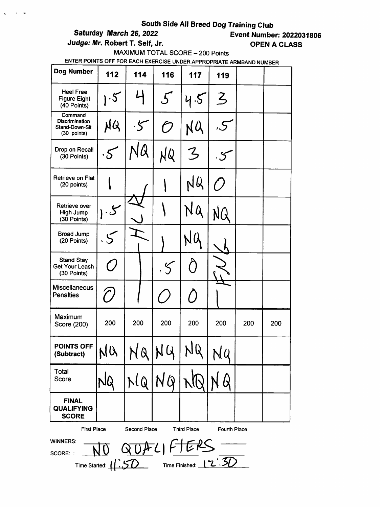$\mathbf{r} = \mathbf{r}$ 

Saturday March 26, 2022 Event Number: 2022031806 Judge: Mr. Robert T. Self, Jr. Casser Communication of the CLASS

MAXIMUM TOTAL SCORE - 200 Points

| <b>Dog Number</b>                                                 | 112                                      | 114                        | 116                         | 117                | 119                 |     |     |
|-------------------------------------------------------------------|------------------------------------------|----------------------------|-----------------------------|--------------------|---------------------|-----|-----|
| <b>Heel Free</b><br><b>Figure Eight</b><br>(40 Points)            | $\cdot 5$                                |                            | $\mathcal{F}_{\mathcal{L}}$ | 4.5                | $\overline{3}$      |     |     |
| Command<br><b>Discrimination</b><br>Stand-Down-Sit<br>(30 points) | NQ                                       |                            | ි                           |                    |                     |     |     |
| Drop on Recall<br>(30 Points)                                     | $\cdot 5$                                |                            | NQ                          | 3                  |                     |     |     |
| Retrieve on Flat<br>(20 points)                                   |                                          |                            |                             |                    |                     |     |     |
| Retrieve over<br>High Jump<br>(30 Points)                         |                                          |                            |                             |                    |                     |     |     |
| <b>Broad Jump</b><br>(20 Points)                                  |                                          |                            |                             |                    |                     |     |     |
| <b>Stand Stay</b><br><b>Get Your Leash</b><br>(30 Points)         |                                          |                            | $\zeta$                     |                    |                     |     |     |
| Miscellaneous<br><b>Penalties</b>                                 | $\mathcal C$                             |                            |                             | $\bigcirc$         |                     |     |     |
| Maximum<br>Score (200)                                            | 200                                      | 200                        | 200                         | 200                | 200                 | 200 | 200 |
| <b>POINTS OFF</b><br>(Subtract)                                   | NU                                       |                            | NQNG                        | Q                  | NQ                  |     |     |
| Total<br>Score                                                    |                                          |                            | NQNGINQ                     |                    | Q                   |     |     |
| <b>FINAL</b><br><b>QUALIFYING</b><br><b>SCORE</b>                 |                                          |                            |                             |                    |                     |     |     |
| <b>First Place</b><br><b>WINNERS:</b><br>ernoc                    | $\overline{\text{N}}\overline{\text{O}}$ | Second Place<br>QUALIFIERS |                             | <b>Third Place</b> | <b>Fourth Place</b> |     |     |

SCORE: : Time Started: <u>N V</u>  $\ket{1.5D}$  Time Finished:  $\ket{2.5D}$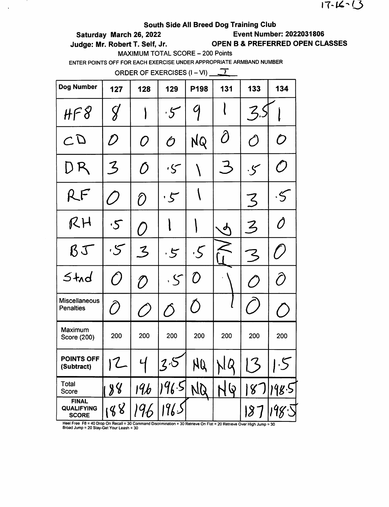$17 - 16 - 13$ 

### South Side All Breed Dog Training Club

 $\mathbf{r}$ 

Saturday March 26, 2022 Event Number: 2022031806

Judge: Mr. Robert T. Self, Jr. OPEN B & PREFERRED OPEN CLASSES

MAXIMUM TOTAL SCORE - 200 Points

ENTER POINTS OFF FOR EACH EXERCISE UNDER APPROPRIATE ARMBAND NUMBER

ORDER OF EXERCISES  $(I - VI)$   $\sqrt{I}$ 

| <b>Dog Number</b>                                                                         | 127           | 128                                                       | 129           | P198                                                      | 131 | 133             | 134                         |
|-------------------------------------------------------------------------------------------|---------------|-----------------------------------------------------------|---------------|-----------------------------------------------------------|-----|-----------------|-----------------------------|
| $H \cap S$                                                                                | $\c{S}$       |                                                           | $.5\,$        |                                                           |     | $Z_{n}$         |                             |
| CD                                                                                        | D             | O                                                         | Ó             | NQ                                                        | Ô   | $\hat{O}$       | ${\cal O}$                  |
| DR                                                                                        | 3             | Ŏ                                                         |               |                                                           | う   | $\cdot$ S       | $\mathcal O$                |
| RF.                                                                                       |               | O                                                         | ・5            |                                                           |     | 3               | $\cdot$ 5                   |
| RH                                                                                        | $\cdot$ 5     | $\bigcirc$                                                |               |                                                           | o   | $\mathcal{Z}$   | Ô                           |
| $\beta J$                                                                                 | کی.           | $\mathcal{Z}% _{M_{1},M_{2}}^{\alpha,\beta}(\varepsilon)$ | , 5           | $\cdot$ 5                                                 |     | 3               | $\mathcal{L}_{\mathcal{L}}$ |
| $5 + d$                                                                                   | $\bigcirc$    | D                                                         | $\cdot$ S     | $\mathcal{D}% _{M_{1},M_{2}}^{\alpha,\beta}(\varepsilon)$ |     | C)              | Ô                           |
| <b>Miscellaneous</b><br><b>Penalties</b>                                                  | $\widehat{O}$ |                                                           | $\mathcal{O}$ | $\bigcirc$                                                |     |                 |                             |
| Maximum<br>Score (200)                                                                    | 200           | 200                                                       | 200           | 200                                                       | 200 | 200             | 200                         |
| <b>POINTS OFF</b><br>(Subtract)                                                           | Z             | ୳                                                         | 2.5           | NQ                                                        | NQ  | ${\mathcal{L}}$ | .5                          |
| Total<br>Score                                                                            | 88            | <u>19b</u>                                                | 96.5          | NQ                                                        | ပြ  | 8               | 98.5                        |
| <b>FINAL</b><br><b>QUALIFYING</b><br><b>SCORE</b><br>Hool Fron $E9 - A0$ Dron On Rogoll - | 98            | 196<br>200cm                                              | 196.S         |                                                           |     | $ \mathcal{S} $ |                             |

Heel Free F8 = 40 Drop On Recall = 30 Command Discrimination = 30 Retrieve On Flat = 20 Retrieve Over High Jump = 30<br>Broad Jump = 20 Stay-Get Your Leash = 30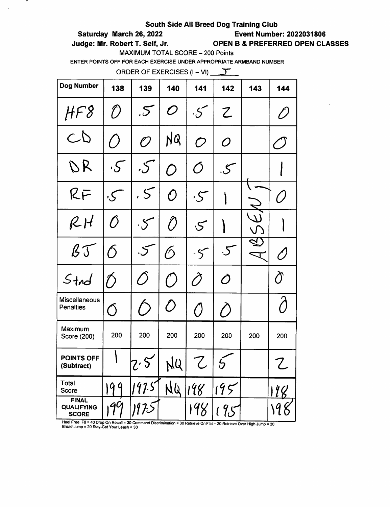## Saturday March 26, 2022 Event Number: 2022031808

 $\mathbf{r}$ 

 $\sim$ 

 $\bullet$ 

Judge: Mr. Robert T. Self, Jr. OPEN B & PREFERRED OPEN CLASSES

MAXIMUM TOTAL SCORE - 200 Points

ENTER POINTS OFF FOR EACH EXERCISE UNDER APPROPRIATE ARMBAND NUMBER

ORDER OF EXERCISES  $(I - VI)$   $\overline{I}$ 

| Dog Number                                                                     | 138              | 139           | 140               | 141           | 142           | 143 | 144                  |
|--------------------------------------------------------------------------------|------------------|---------------|-------------------|---------------|---------------|-----|----------------------|
| HF8                                                                            | D                | 55            | $\mathcal O$      | $\cdot5$      | Z             |     | $\hat{\mathcal{D}}$  |
| CD                                                                             | $\bigcirc$       | O             | NQ                | $\mathcal O$  | O             |     | $\sqrt{\phantom{a}}$ |
| DR                                                                             | $\cdot$ S $^{-}$ | $\mathcal{S}$ | $\bm{\mathit{O}}$ | Ó             | $\mathcal{S}$ |     |                      |
| RF                                                                             | $\mathcal{S}$ ,  | . 5           | $\bm{O}$          | $\zeta$       |               |     | Ő                    |
| RH                                                                             | Ô                | $\cdot$ 5     | $\hat{O}$         | $\mathcal{S}$ |               |     |                      |
| $\mathcal{B}\mathcal{T}$                                                       | $\delta$         | $\mathcal{S}$ | $\mathcal{O}$     | $\cdot$ 5     | $\cdot 5$     |     | O)                   |
| $4nd$                                                                          | $\bigtriangleup$ | $\bigcirc$    | $^{\prime}$ )     | Õ             | Ò             |     | $\sigma$             |
| <b>Miscellaneous</b><br><b>Penalties</b>                                       | $\overline{O}$   |               | $\langle \rangle$ | $\bigcirc$    | ()            |     | $\bigwedge$          |
| Maximum<br>Score (200)                                                         | 200              | 200           | 200               | 200           | 200           | 200 | 200                  |
| <b>POINTS OFF</b><br>(Subtract)                                                |                  | $z\cdot 5$    | NQ                | 7             |               |     | Z                    |
| Total<br>Score                                                                 | 99               | 197.5         | NQ                | 198           | 195           |     | 118                  |
| <b>FINAL</b><br><b>QUALIFYING</b><br><b>SCORE</b><br>Hool Fron ER - 40 Drop On | 99               | 1973          |                   | 198           | 195           |     |                      |

Heel Free F8 = 40 Dron On Recall =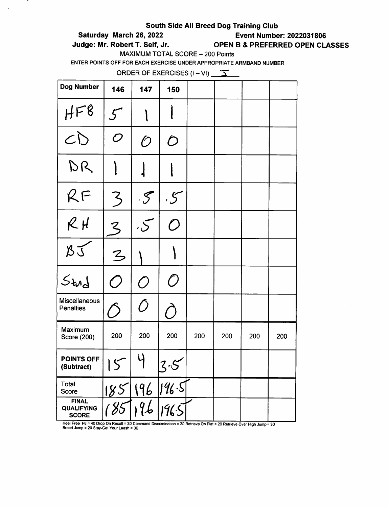### Saturday March 26, 2022 Event Number: 2022031806

.

 $\bullet$ 

# Judge: Mr. Robert T. Self, Jr. OPEN B & PREFERRED OPEN CLASSES

MAXIMUM TOTAL SCORE - 200 Points

ENTER POINTS OFF FOR EACH EXERCISE UNDER APPROPRIATE ARMBAND NUMBER

ORDER OF EXERCISES  $(I - VI)$   $\sqrt{Y}$ 

| <b>Dog Number</b>                                 | 146                                         | 147            | 150          |     |     |     |     |
|---------------------------------------------------|---------------------------------------------|----------------|--------------|-----|-----|-----|-----|
| HF8                                               | $\mathcal{L}$                               |                |              |     |     |     |     |
| CD                                                | $\boldsymbol{\mathcal{O}}$                  | $\mathcal O$   | D            |     |     |     |     |
| DR                                                |                                             |                |              |     |     |     |     |
| RF                                                | $\mathcal{Z}$                               | $\cdot$ S      | $\zeta$      |     |     |     |     |
| $R$ $H$                                           | $\zeta$                                     | $\zeta$        | $\bigcirc$   |     |     |     |     |
| BI                                                | $\overline{\mathcal{L}}$                    |                |              |     |     |     |     |
| Stud                                              | $\bigcirc$                                  | $\overline{O}$ | $\mathcal O$ |     |     |     |     |
| Miscellaneous<br><b>Penalties</b>                 |                                             | Õ              | $\sqrt{2}$   |     |     |     |     |
| Maximum<br>Score (200)                            | 200                                         | 200            | 200          | 200 | 200 | 200 | 200 |
| <b>POINTS OFF</b><br>(Subtract)                   | $\overline{(\mathcal{C})}$<br>$\mathcal{L}$ | y              | 7            |     |     |     |     |
| Total<br>Score                                    | 185                                         | 196            | 196.5        |     |     |     |     |
| <b>FINAL</b><br><b>QUALIFYING</b><br><b>SCORE</b> |                                             | 96             | 1965         |     |     |     |     |

Heel Free F8 = 40 Drop On Recall = 30 Command Discrimination = 30 Retrieve On Flat = 20 Retrieve Over High Jump = 30<br>Broad Jump = 20 Stay-Get Your Leash = 30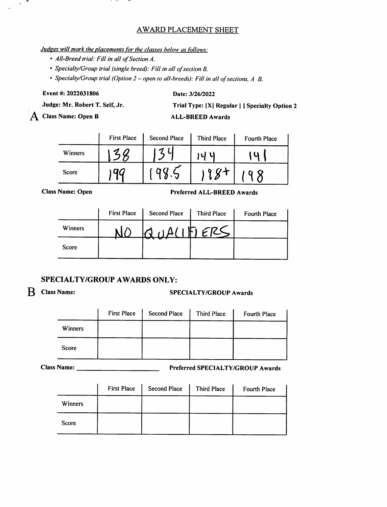### AWARD PLACEMENT SHEET

### Judges will mark the placements for the classes below as follows:

 $-1$ 

- All-Breed trial: Fill in all of Section A.
- Specialty/Group trial (single breed): Fill in all of section B.

• Specialty/Group trial (Option 2 – open to all-breeds): Fill in all of sections, A B.

Event#:2022031806

 $\mathbf{v}^{\prime}$ ▼

### Date: 3/26/2022

Judge: Mr. Robert T. Self, Jr.

Trial Type: |X| Regular | I Specialty Option 2 ALL-BREED Awards

A Class Name: Open B

| ALL-BREED AWAI' |  |  |  |  |
|-----------------|--|--|--|--|
|                 |  |  |  |  |

|         | <b>First Place</b><br><b>Second Place</b> |  | <b>Third Place</b> | <b>Fourth Place</b> |
|---------|-------------------------------------------|--|--------------------|---------------------|
| Winners |                                           |  | ึ้น                |                     |
| Score   |                                           |  | $\boldsymbol{\mu}$ |                     |

**Class Name: Open** 

Preferr ed ALL-BREED Awards

|         | <b>First Place</b> | Second Place | <b>Third Place</b> | Fourth Place |
|---------|--------------------|--------------|--------------------|--------------|
| Winners |                    | $\Lambda$    | ١F,                |              |
| Score   |                    |              |                    |              |

### SPECIALTY/GROUP AWARDS ONLY:

### R Class Name: SPECIALTY/GROUP Awards

|         | <b>First Place</b> | <b>Second Place</b> | Third Place | Fourth Place |
|---------|--------------------|---------------------|-------------|--------------|
| Winners |                    |                     |             |              |
| Score   |                    |                     |             |              |

Name: Preferred SPECIALTY/GROUP Awards

|         | <b>First Place</b> | <b>Second Place</b> | <b>Third Place</b> | <b>Fourth Place</b> |
|---------|--------------------|---------------------|--------------------|---------------------|
| Winners |                    |                     |                    |                     |
| Score   |                    |                     |                    |                     |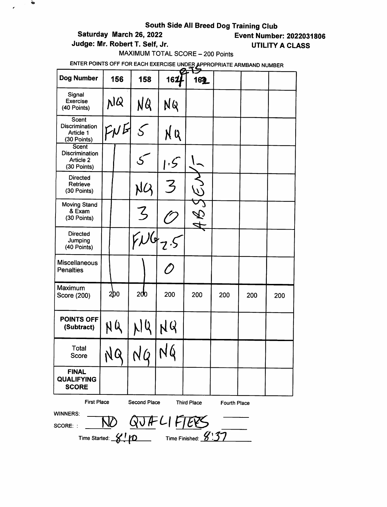# South Side All Breed Dog Training Club<br>Event Numbe<br>Event Numbe

 $\ddot{\phantom{a}}$ 

 $\mathcal{L}_{\mathcal{A}}$ 

Judge: Mr. Robert T. Self, Jr. (2008) UTILITY A CLASS

**Event Number: 2022031806** 

MAXIMUM TOTAL SCORE - 200 Points

| Dog Number                                                                                            | 156 | 158                  | 162       | 162 |     |     |     |
|-------------------------------------------------------------------------------------------------------|-----|----------------------|-----------|-----|-----|-----|-----|
| Signal<br><b>Exercise</b><br>(40 Points)                                                              | p1Q | NQ                   | NQ        |     |     |     |     |
| Scent<br>Discrimination<br>Article 1<br>(30 Points)                                                   | FNE |                      | N Q       |     |     |     |     |
| Scent<br><b>Discrimination</b><br>Article 2<br>(30 Points)                                            |     |                      | $\cdot$ 5 |     |     |     |     |
| <b>Directed</b><br>Retrieve<br>(30 Points)                                                            |     | NG                   | ζ         |     |     |     |     |
| <b>Moving Stand</b><br>& Exam<br>(30 Points)                                                          |     | Z                    |           |     |     |     |     |
| <b>Directed</b><br>Jumping<br>(40 Points)                                                             |     |                      |           |     |     |     |     |
| <b>Miscellaneous</b><br><b>Penalties</b>                                                              |     |                      |           |     |     |     |     |
| Maximum<br>Score (200)                                                                                | 200 | 200                  | 200       | 200 | 200 | 200 | 200 |
| <b>POINTS OFF</b><br>(Subtract)                                                                       | N Q | $\boldsymbol{\zeta}$ | NQ        |     |     |     |     |
| Total<br>Score                                                                                        | NQ  | NQ                   |           |     |     |     |     |
| <b>FINAL</b><br><b>QUALIFYING</b><br><b>SCORE</b>                                                     |     |                      |           |     |     |     |     |
| <b>First Place</b><br><b>Second Place</b><br><b>Third Place</b><br><b>Fourth Place</b>                |     |                      |           |     |     |     |     |
| <b>WINNERS:</b><br>$\frac{10}{\frac{1}{200}} \frac{QJH}{V}$ $\frac{VH}{V}$ $\frac{VH}{V}$<br>SCORE: : |     |                      |           |     |     |     |     |
|                                                                                                       |     |                      |           |     |     |     |     |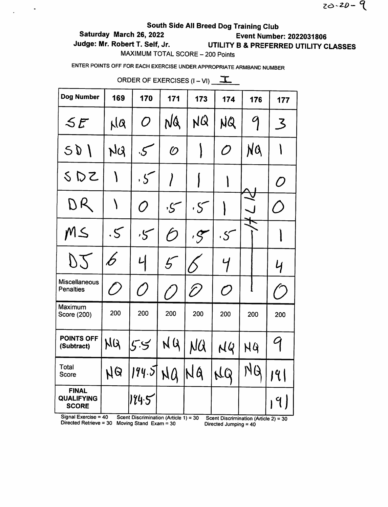$20 - 20 - 9$ 

# South Side All Breed Dog Training Club

# Saturday March 26, 2022 Event Number: 2022031806

 $\ddot{\phantom{1}}$ 

Judge: Mr. Robert T. Self, Jr. UTILITY B & PREFERRED UTILITY CLASSES

MAXIMUM TOTAL SCORE - 200 Points

ENTER POINTS OFF FOR EACH EXERCISE UNDER APPROPRIATE ARMBAND NUMBER

| Dog Number                                        | 169           | 170            | 171          | 173       | 174          | 176 | 177                                                       |
|---------------------------------------------------|---------------|----------------|--------------|-----------|--------------|-----|-----------------------------------------------------------|
| SE                                                | NQ            | $\, O \,$      | NQ           | NQ        | NQ           | 9   | $\mathcal{Z}% _{M_{1},M_{2}}^{\prime\prime}(\varepsilon)$ |
| 501                                               | NQ            | ی.             | $\mathcal O$ |           | O            | NQ  |                                                           |
| SDZ                                               | ١             | $.5\,$         |              |           |              |     | O                                                         |
| DR                                                |               | O              | کن,          | $\cdot$ S |              |     | ( )                                                       |
| MS                                                | $\mathcal{S}$ | 5 <sup>0</sup> | Ó            | .5        | $\cdot$ S    |     |                                                           |
| D2                                                | b             | 니              | $5^-$        |           | Ч            |     | Ч                                                         |
| <b>Miscellaneous</b><br><b>Penalties</b>          | [ )           | ()             |              | T)        | $\mathcal O$ |     |                                                           |
| Maximum<br>Score (200)                            | 200           | 200            | 200          | 200       | 200          | 200 | 200                                                       |
| <b>POINTS OFF</b><br>(Subtract)                   | NQ            | 5.5            | NQ           | NQ        | NQ           | NG  | G                                                         |
| Total<br>Score                                    | <b>N</b> Q    | 194.5          | NQ           | NA        | NQ           | NQ  | 191                                                       |
| <b>FINAL</b><br><b>QUALIFYING</b><br><b>SCORE</b> |               | 174.5          |              |           |              |     | $9 \mid$                                                  |

ORDER OF EXERCISES  $(I - VI)$   $\overline{\mathbf{I}}$ 

Signal Exercise = 40 Scent Discrimination (Article 1) = 30 Scent Discrimination (Article 2) = 30 Directed Retrieve =  $30$  Moving Stand Exam =  $30$  Directed Jumping =  $40$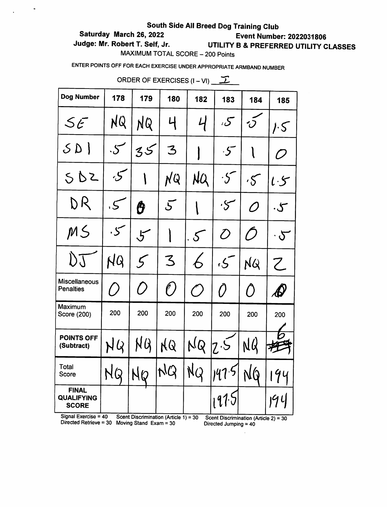# Saturday March 26, 2022 Event Number: 2022031806

 $\ddot{\phantom{a}}$ 

# Judge: Mr. Robert T. Self, Jr. UTILITY B & PREFERRED UTILITY CLASSES

MAXIMUM TOTAL SCORE - 200 Points

ENTER POINTS OFF FOR EACH EXERCISE UNDER APPROPRIATE ARMBAND NUMBER

| Dog Number                                        | 178       | 179            | 180                 | 182                                              | 183             | 184           | 185                                                       |
|---------------------------------------------------|-----------|----------------|---------------------|--------------------------------------------------|-----------------|---------------|-----------------------------------------------------------|
| 5E                                                | NQ        | NQ             | 4                   | $\mathcal{L}$                                    | $\mathcal{S}$   | $\dot{O}$     | $\mathcal{F}$ . S                                         |
| SD                                                | $\cdot S$ | $35\,$         | 3                   |                                                  | $\cdot$ 5       |               | $\mathcal{D}% _{M_{1},M_{2}}^{\alpha,\beta}(\varepsilon)$ |
| 5D2                                               | کن        |                | NQ                  | NQ                                               | $\cdot 5$       | $\mathcal{S}$ | $l \cdot 5$                                               |
| DR                                                | .5        | Ô              | $\bar{\mathcal{S}}$ |                                                  | کر .            | O             | $\cdot$ ح                                                 |
| MS                                                | ۰5        | $5\,$          |                     | $\cdot$ 5                                        | $\overline{O}$  | Ŋ             | $\cdot$ $\infty$                                          |
| I) J                                              | NQ        | 5 <sup>1</sup> | 3                   | 6                                                | ، ح ،           | NQ            | Z                                                         |
| <b>Miscellaneous</b><br><b>Penalties</b>          | $\bigcap$ | ()             | $(\ell)$            | $\left(\begin{matrix} \cdot \end{matrix}\right)$ | $\left(\right)$ | $\bigcap$     | $\boldsymbol{\mathscr{A}}$                                |
| Maximum<br>Score (200)                            | 200       | 200            | 200                 | 200                                              | 200             | 200           | 200                                                       |
| <b>POINTS OFF</b><br>(Subtract)                   | NQ        | NQ             | KQ                  | NQ                                               | 7.5             | NQ            |                                                           |
| Total<br>Score                                    | NQ        | NØ             | NQ                  | NQ                                               | 147.5           | NQ            | 194                                                       |
| <b>FINAL</b><br><b>QUALIFYING</b><br><b>SCORE</b> |           |                |                     |                                                  | 197.7           |               | 194                                                       |
|                                                   |           |                |                     |                                                  |                 |               |                                                           |

ORDER OF EXERCISES  $(I - VI)$  \_ \_\_\_\_\_

Signal Exercise = 40 Scent Discrimination (Article 1) = 30 Scent Discrimination (Article 2) = 30 Directed Jumping = 40

 $\bar{z}$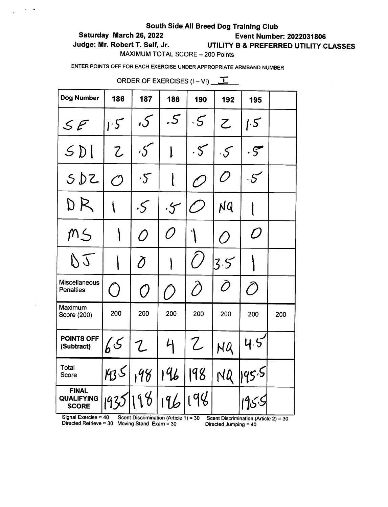## Saturday March 26, 2022 Event Number: 2022031806

 $\frac{1}{2}$  ,  $\frac{1}{2}$  ,  $\frac{1}{2}$ 

# Judge: Mr. Robert T. Self, Jr. UTILITY B & PREFERRED UTILITY CLASSES

MAXIMUM TOTAL SCORE - 200 Points

ENTER POINTS OFF FOR EACH EXERCISE UNDER APPROPRIATE ARMBAND NUMBER

| <b>Dog Number</b>                                                           | 186          | 187                                                       | 188           | 190                         | 192                   | 195                                     |     |
|-----------------------------------------------------------------------------|--------------|-----------------------------------------------------------|---------------|-----------------------------|-----------------------|-----------------------------------------|-----|
| $\mathcal{S} \mathcal{F}$                                                   | 1.5          | ک,                                                        | .5            | .5                          | Z                     | 1.5                                     |     |
| 5D                                                                          | Z            | $\mathcal{S}$                                             |               | $\cdot$ 5                   | $\cdot$ $\mathcal{S}$ | $\cdot$ 5                               |     |
| 5DZ                                                                         | $\mathcal O$ | $\cdot5$                                                  |               | O                           | Õ                     | $\cdot$ 5                               |     |
| DR                                                                          |              | $\cdot$ S                                                 | $\cdot$ S     |                             | NQ                    |                                         |     |
| MS                                                                          |              | $\overline{O}$                                            | Õ             |                             | $\overline{O}$        | D                                       |     |
| DJ                                                                          |              | $\partial$                                                |               | $\mathcal{L}_{\mathcal{A}}$ | 3.5                   |                                         |     |
| Miscellaneous<br><b>Penalties</b>                                           | $\bigcap$    | $\cal O$                                                  | $\bigcap$     | T)                          | Õ                     | $\bigcirc$                              |     |
| Maximum<br>Score (200)                                                      | 200          | 200                                                       | 200           | 200                         | 200                   | 200                                     | 200 |
| <b>POINTS OFF</b><br>(Subtract)                                             | 65           | $\mathcal{L}% _{M_{1},M_{2}}^{\alpha,\beta}(\varepsilon)$ | $\mathcal{L}$ | ${\mathcal{Z}}$             | NQ                    | 4.5                                     |     |
| Total<br>Score                                                              | 935 198      |                                                           | 196           | 198                         | NQ                    | 195.5                                   |     |
| <b>FINAL</b><br><b>QUALIFYING</b><br><b>SCORE</b><br>Signal Exercise = $40$ | 1935         | 198<br>Scent Discrimination (Article 1) = 30              |               | 196 198                     |                       | Scent Discrimination (Article $21 - 20$ |     |

ORDER OF EXERCISES  $(I - VI)$   $\boxed{I}$ 

Signal Exercise = 40 Scent Discrimination (Article 1) = 30 Scent Discrimination (Article 2) = 30<br>Directed Retrieve = 30 Moving Stand Exam = 30 Directed Jumping = 40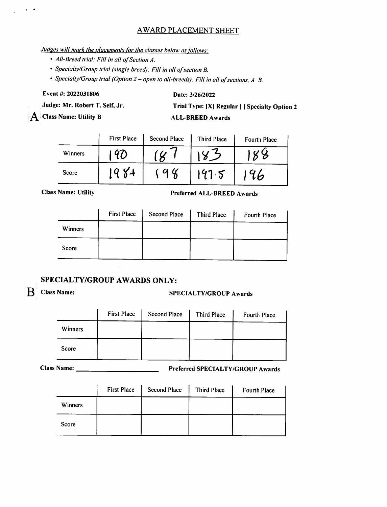### AWARD PLACEMENT SHEET

## Judzes will mark the placements for the classes below as follows:

- AII-Breed trial: Fill in all of Section A.
- Specialty/Group trial (single breed): Fill in all of section B.

• Specialty/Group trial (Option 2 – open to all-breeds): Fill in all of sections, A B.

Event#:2022031806

### Date: 3/26/2022

Judge: Mr. Robert T. Self, Jr.

 $\bf{A}$  Class Name: Utility B

Trial Type: |X| Regular | | Specialty Option 2

ALL-BREED Awards

|         | <b>First Place</b> | <b>Second Place</b> | <b>Third Place</b> | Fourth Place |
|---------|--------------------|---------------------|--------------------|--------------|
| Winners |                    |                     |                    |              |
| Score   | Ω                  |                     | 197.5              | 96           |

Class Name: Utility **Preferred ALL-BREED Awards** 

|                | <b>First Place</b> | <b>Second Place</b> | Third Place | Fourth Place |
|----------------|--------------------|---------------------|-------------|--------------|
| <b>Winners</b> |                    |                     |             |              |
| Score          |                    |                     |             |              |

## SPECIALTY/GROUP AWARDS ONLY:

 $\omega_{\rm c}$  ,  $\omega_{\rm c}$ 

# B Class Name: SPECIALTY/GROUP Awards

|         | <b>First Place</b> | <b>Second Place</b> | Third Place | Fourth Place |
|---------|--------------------|---------------------|-------------|--------------|
| Winners |                    |                     |             |              |
| Score   |                    |                     |             |              |

Name: Preferred SPECIALTY/GROUP Awards

|                | <b>First Place</b> | <b>Second Place</b> | Third Place | Fourth Place |
|----------------|--------------------|---------------------|-------------|--------------|
| <b>Winners</b> |                    |                     |             |              |
| Score          |                    |                     |             |              |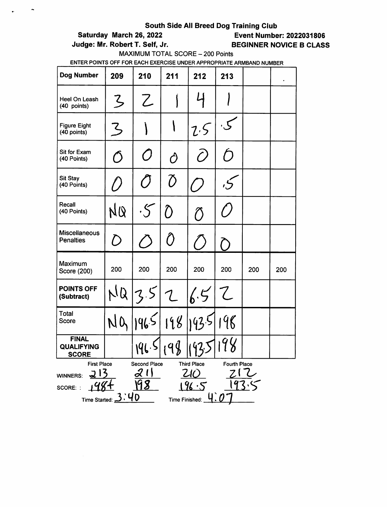# Saturday March 26, 2022 Event Number: 2022031806

 $\hat{\phantom{a}}$ 

Judge: Mr. Robert T. Self, Jr. BEGINNER NOVICE B CLASS

MAXIMUM TOTAL SCORE - 200 Points

| Dog Number                                                                                                                                             | 209        | 210       | 211                      | 212           | 213       |     | $\bullet$ |
|--------------------------------------------------------------------------------------------------------------------------------------------------------|------------|-----------|--------------------------|---------------|-----------|-----|-----------|
| Heel On Leash<br>(40 points)                                                                                                                           | $\zeta$    | Z         |                          |               |           |     |           |
| <b>Figure Eight</b><br>(40 points)                                                                                                                     | Z          |           |                          | 2.5           |           |     |           |
| Sit for Exam<br>(40 Points)                                                                                                                            | $\bigcirc$ | 0         | Ô                        | T)            | $\bigcap$ |     |           |
| <b>Sit Stay</b><br>(40 Points)                                                                                                                         |            | $\sigma$  | $\overline{\mathcal{O}}$ |               |           |     |           |
| Recall<br>(40 Points)                                                                                                                                  | NQ         | $\cdot$ S | $\hat{O}$                | $\widehat{O}$ |           |     |           |
| <b>Miscellaneous</b><br><b>Penalties</b>                                                                                                               | D          |           | Ô                        |               |           |     |           |
| Maximum<br>Score (200)                                                                                                                                 | 200        | 200       | 200                      | 200           | 200       | 200 | 200       |
| <b>POINTS OFF</b><br>(Subtract)                                                                                                                        | NQ         | 3.5       | $\mathcal{L}$            | 6.5           | Z         |     |           |
| <b>Total</b><br><b>Score</b>                                                                                                                           | NO         | 1965      | 198                      | 143.5         | 198       |     |           |
| <b>FINAL</b><br><b>QUALIFYING</b><br><b>SCORE</b>                                                                                                      |            | 196.5     | 9g<br>$\cdot$ v          | 142.5<br>ー    |           |     |           |
| <b>First Place</b><br>Second Place<br><b>Third Place</b><br><b>Fourth Place</b><br>WINNERS:<br>SCORE: :<br>D<br><b>Time Started:</b><br>Time Finished: |            |           |                          |               |           |     |           |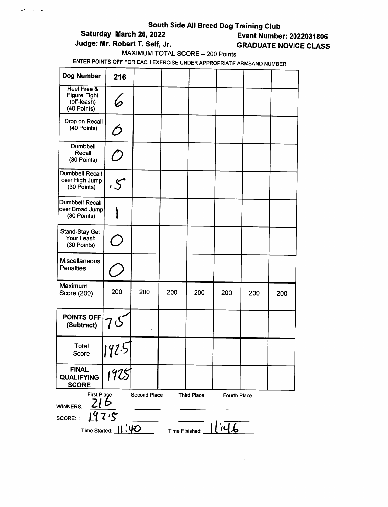# South Side All Breed Dog Training Club<br>Saturday March 26, 2022<br>Event Numbe

 $\mathbf{a}^{\mathbf{a}}$  ,  $\mathbf{a}^{\mathbf{b}}$  ,  $\mathbf{a}^{\mathbf{b}}$ 

# **Event Number: 2022031806** Judge: Mr. Robert T. Self, Jr. **GRADUATE NOVICE CLASS**

MAXIMUM TOTAL SCORE - 200 Points

| Dog Number                                                                  | 216                      |                     |                |                    |                     |     |     |
|-----------------------------------------------------------------------------|--------------------------|---------------------|----------------|--------------------|---------------------|-----|-----|
| <b>Heel Free &amp;</b><br><b>Figure Eight</b><br>(off-leash)<br>(40 Points) |                          |                     |                |                    |                     |     |     |
| Drop on Recall<br>(40 Points)                                               | $\hat{O}$                |                     |                |                    |                     |     |     |
| Dumbbell<br>Recall<br>(30 Points)                                           | (T                       |                     |                |                    |                     |     |     |
| Dumbbell Recall<br>over High Jump<br>(30 Points)                            | .5                       |                     |                |                    |                     |     |     |
| <b>Dumbbell Recall</b><br>over Broad Jump<br>(30 Points)                    |                          |                     |                |                    |                     |     |     |
| <b>Stand-Stay Get</b><br>Your Leash<br>(30 Points)                          | $\overline{\phantom{a}}$ |                     |                |                    |                     |     |     |
| <b>Miscellaneous</b><br><b>Penalties</b>                                    |                          |                     |                |                    |                     |     |     |
| Maximum<br>Score (200)                                                      | 200                      | 200                 | 200            | 200                | 200                 | 200 | 200 |
| <b>POINTS OFF</b><br>(Subtract)                                             | 7 S                      |                     |                |                    |                     |     |     |
| <b>Total</b><br>Score                                                       | 42.5                     |                     |                |                    |                     |     |     |
| <b>FINAL</b><br><b>QUALIFYING</b><br><b>SCORE</b>                           | 1925                     |                     |                |                    |                     |     |     |
| <b>First Place</b><br><b>WINNERS:</b><br>SCORE:                             |                          | <b>Second Place</b> |                | <b>Third Place</b> | <b>Fourth Place</b> |     |     |
| Time Started:                                                               | 1.40                     |                     | Time Finished: |                    |                     |     |     |